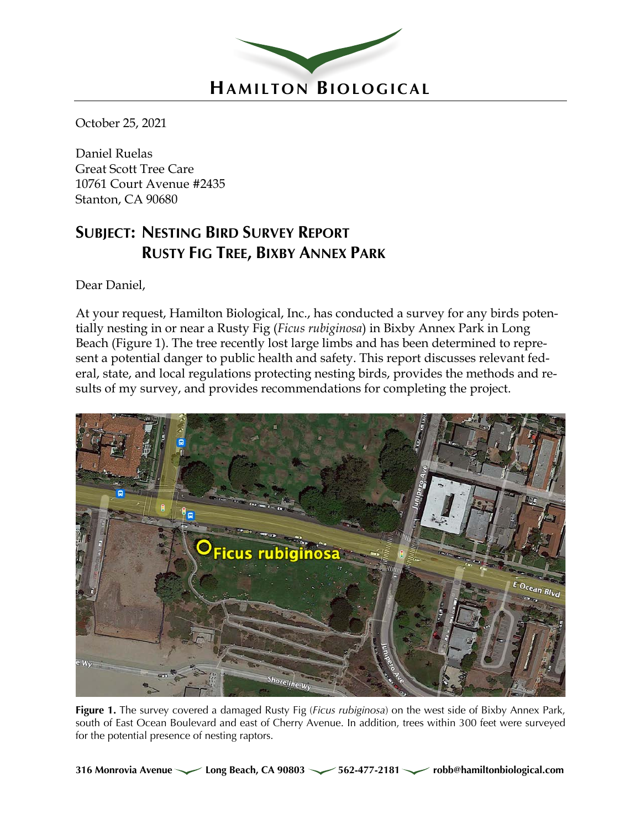

October 25, 2021

Daniel Ruelas Great Scott Tree Care 10761 Court Avenue #2435 Stanton, CA 90680

## **SUBJECT: NESTING BIRD SURVEY REPORT RUSTY FIG TREE, BIXBY ANNEX PARK**

Dear Daniel,

At your request, Hamilton Biological, Inc., has conducted a survey for any birds potentially nesting in or near a Rusty Fig (*Ficus rubiginosa*) in Bixby Annex Park in Long Beach (Figure 1). The tree recently lost large limbs and has been determined to represent a potential danger to public health and safety. This report discusses relevant federal, state, and local regulations protecting nesting birds, provides the methods and results of my survey, and provides recommendations for completing the project.



**Figure 1.** The survey covered a damaged Rusty Fig (*Ficus rubiginosa*) on the west side of Bixby Annex Park, south of East Ocean Boulevard and east of Cherry Avenue. In addition, trees within 300 feet were surveyed for the potential presence of nesting raptors.

**316 Monrovia Avenue Long Beach, CA 90803 562-477-2181 robb@hamiltonbiological.com**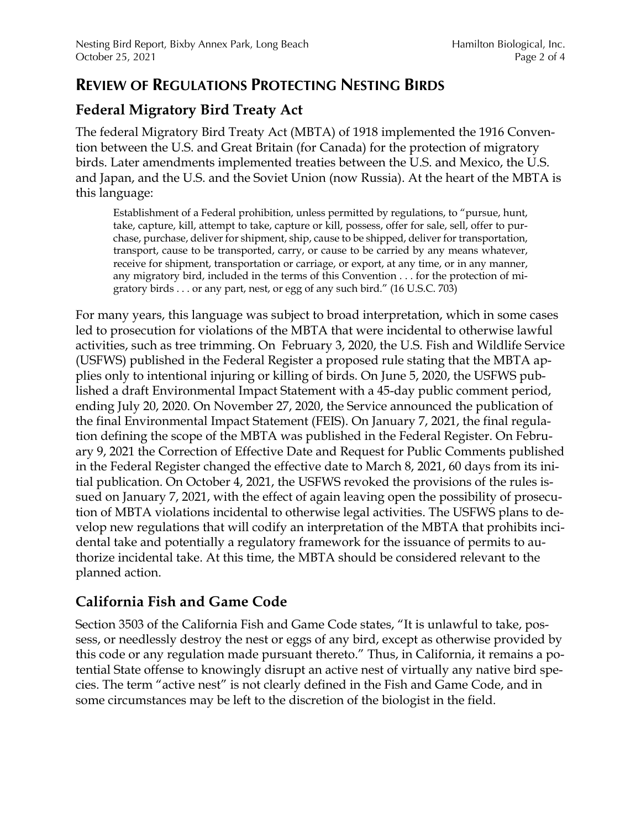### **REVIEW OF REGULATIONS PROTECTING NESTING BIRDS**

## **Federal Migratory Bird Treaty Act**

The federal Migratory Bird Treaty Act (MBTA) of 1918 implemented the 1916 Convention between the U.S. and Great Britain (for Canada) for the protection of migratory birds. Later amendments implemented treaties between the U.S. and Mexico, the U.S. and Japan, and the U.S. and the Soviet Union (now Russia). At the heart of the MBTA is this language:

Establishment of a Federal prohibition, unless permitted by regulations, to "pursue, hunt, take, capture, kill, attempt to take, capture or kill, possess, offer for sale, sell, offer to purchase, purchase, deliver for shipment, ship, cause to be shipped, deliver for transportation, transport, cause to be transported, carry, or cause to be carried by any means whatever, receive for shipment, transportation or carriage, or export, at any time, or in any manner, any migratory bird, included in the terms of this Convention . . . for the protection of migratory birds . . . or any part, nest, or egg of any such bird." (16 U.S.C. 703)

For many years, this language was subject to broad interpretation, which in some cases led to prosecution for violations of the MBTA that were incidental to otherwise lawful activities, such as tree trimming. On February 3, 2020, the U.S. Fish and Wildlife Service (USFWS) published in the Federal Register a proposed rule stating that the MBTA applies only to intentional injuring or killing of birds. On June 5, 2020, the USFWS published a draft Environmental Impact Statement with a 45-day public comment period, ending July 20, 2020. On November 27, 2020, the Service announced the publication of the final Environmental Impact Statement (FEIS). On January 7, 2021, the final regulation defining the scope of the MBTA was published in the Federal Register. On February 9, 2021 the Correction of Effective Date and Request for Public Comments published in the Federal Register changed the effective date to March 8, 2021, 60 days from its initial publication. On October 4, 2021, the USFWS revoked the provisions of the rules issued on January 7, 2021, with the effect of again leaving open the possibility of prosecution of MBTA violations incidental to otherwise legal activities. The USFWS plans to develop new regulations that will codify an interpretation of the MBTA that prohibits incidental take and potentially a regulatory framework for the issuance of permits to authorize incidental take. At this time, the MBTA should be considered relevant to the planned action.

#### **California Fish and Game Code**

Section 3503 of the California Fish and Game Code states, "It is unlawful to take, possess, or needlessly destroy the nest or eggs of any bird, except as otherwise provided by this code or any regulation made pursuant thereto." Thus, in California, it remains a potential State offense to knowingly disrupt an active nest of virtually any native bird species. The term "active nest" is not clearly defined in the Fish and Game Code, and in some circumstances may be left to the discretion of the biologist in the field.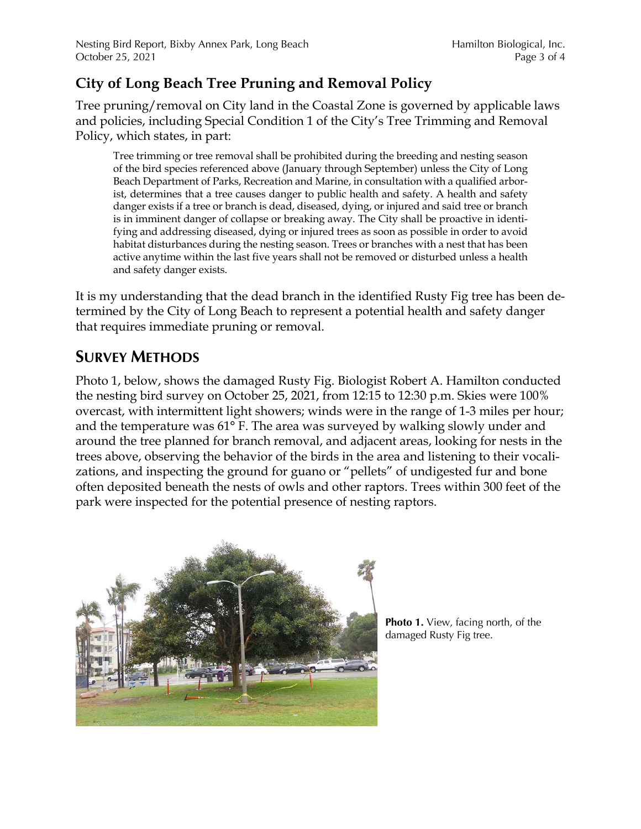## **City of Long Beach Tree Pruning and Removal Policy**

Tree pruning/removal on City land in the Coastal Zone is governed by applicable laws and policies, including Special Condition 1 of the City's Tree Trimming and Removal Policy, which states, in part:

Tree trimming or tree removal shall be prohibited during the breeding and nesting season of the bird species referenced above (January through September) unless the City of Long Beach Department of Parks, Recreation and Marine, in consultation with a qualified arborist, determines that a tree causes danger to public health and safety. A health and safety danger exists if a tree or branch is dead, diseased, dying, or injured and said tree or branch is in imminent danger of collapse or breaking away. The City shall be proactive in identifying and addressing diseased, dying or injured trees as soon as possible in order to avoid habitat disturbances during the nesting season. Trees or branches with a nest that has been active anytime within the last five years shall not be removed or disturbed unless a health and safety danger exists.

It is my understanding that the dead branch in the identified Rusty Fig tree has been determined by the City of Long Beach to represent a potential health and safety danger that requires immediate pruning or removal.

## **SURVEY METHODS**

Photo 1, below, shows the damaged Rusty Fig. Biologist Robert A. Hamilton conducted the nesting bird survey on October 25, 2021, from 12:15 to 12:30 p.m. Skies were 100% overcast, with intermittent light showers; winds were in the range of 1-3 miles per hour; and the temperature was 61° F. The area was surveyed by walking slowly under and around the tree planned for branch removal, and adjacent areas, looking for nests in the trees above, observing the behavior of the birds in the area and listening to their vocalizations, and inspecting the ground for guano or "pellets" of undigested fur and bone often deposited beneath the nests of owls and other raptors. Trees within 300 feet of the park were inspected for the potential presence of nesting raptors.



**Photo 1.** View, facing north, of the damaged Rusty Fig tree.